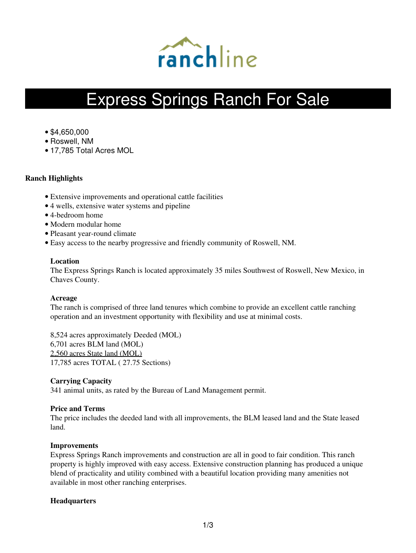

# Express Springs Ranch For Sale

- \$4,650,000
- Roswell, NM
- 17,785 Total Acres MOL

# **Ranch Highlights**

- Extensive improvements and operational cattle facilities
- 4 wells, extensive water systems and pipeline
- 4-bedroom home
- Modern modular home
- Pleasant year-round climate
- Easy access to the nearby progressive and friendly community of Roswell, NM.

# **Location**

The Express Springs Ranch is located approximately 35 miles Southwest of Roswell, New Mexico, in Chaves County.

# **Acreage**

The ranch is comprised of three land tenures which combine to provide an excellent cattle ranching operation and an investment opportunity with flexibility and use at minimal costs.

8,524 acres approximately Deeded (MOL) 6,701 acres BLM land (MOL) 2,560 acres State land (MOL) 17,785 acres TOTAL ( 27.75 Sections)

# **Carrying Capacity**

341 animal units, as rated by the Bureau of Land Management permit.

# **Price and Terms**

The price includes the deeded land with all improvements, the BLM leased land and the State leased land.

# **Improvements**

Express Springs Ranch improvements and construction are all in good to fair condition. This ranch property is highly improved with easy access. Extensive construction planning has produced a unique blend of practicality and utility combined with a beautiful location providing many amenities not available in most other ranching enterprises.

# **Headquarters**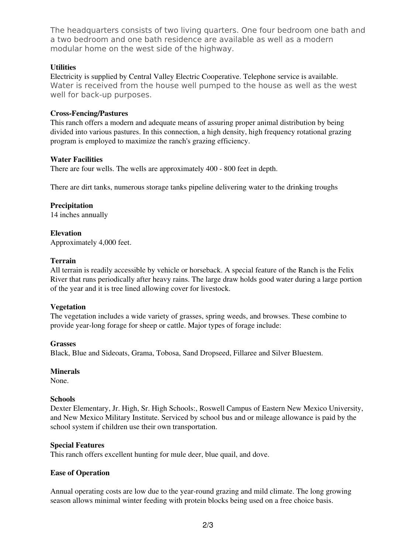The headquarters consists of two living quarters. One four bedroom one bath and a two bedroom and one bath residence are available as well as a modern modular home on the west side of the highway.

# **Utilities**

Electricity is supplied by Central Valley Electric Cooperative. Telephone service is available. Water is received from the house well pumped to the house as well as the west well for back-up purposes.

# **Cross-Fencing/Pastures**

This ranch offers a modern and adequate means of assuring proper animal distribution by being divided into various pastures. In this connection, a high density, high frequency rotational grazing program is employed to maximize the ranch's grazing efficiency.

# **Water Facilities**

There are four wells. The wells are approximately 400 - 800 feet in depth.

There are dirt tanks, numerous storage tanks pipeline delivering water to the drinking troughs

# **Precipitation**

14 inches annually

#### **Elevation** Approximately 4,000 feet.

# **Terrain**

All terrain is readily accessible by vehicle or horseback. A special feature of the Ranch is the Felix River that runs periodically after heavy rains. The large draw holds good water during a large portion of the year and it is tree lined allowing cover for livestock.

# **Vegetation**

The vegetation includes a wide variety of grasses, spring weeds, and browses. These combine to provide year-long forage for sheep or cattle. Major types of forage include:

# **Grasses**

Black, Blue and Sideoats, Grama, Tobosa, Sand Dropseed, Fillaree and Silver Bluestem.

# **Minerals**

None.

# **Schools**

Dexter Elementary, Jr. High, Sr. High Schools:, Roswell Campus of Eastern New Mexico University, and New Mexico Military Institute. Serviced by school bus and or mileage allowance is paid by the school system if children use their own transportation.

# **Special Features**

This ranch offers excellent hunting for mule deer, blue quail, and dove.

# **Ease of Operation**

Annual operating costs are low due to the year-round grazing and mild climate. The long growing season allows minimal winter feeding with protein blocks being used on a free choice basis.